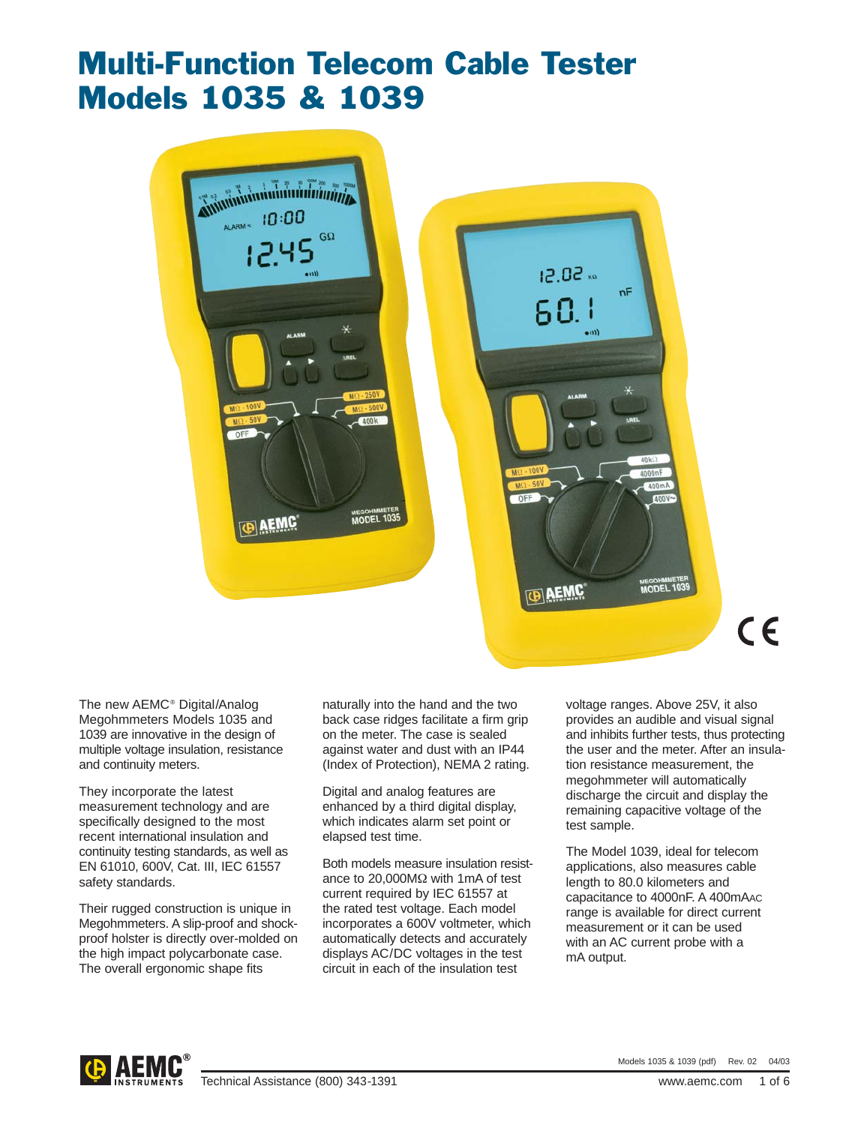# Multi-Function Telecom Cable Tester Models 1035 & 1039



 $12.02<sub>51</sub>$  $nF$ MEGOHMMETER **DAEMC** 

The new AEMC® Digital/Analog Megohmmeters Models 1035 and 1039 are innovative in the design of multiple voltage insulation, resistance and continuity meters.

They incorporate the latest measurement technology and are specifically designed to the most recent international insulation and continuity testing standards, as well as EN 61010, 600V, Cat. III, IEC 61557 safety standards.

Their rugged construction is unique in Megohmmeters. A slip-proof and shockproof holster is directly over-molded on the high impact polycarbonate case. The overall ergonomic shape fits

naturally into the hand and the two back case ridges facilitate a firm grip on the meter. The case is sealed against water and dust with an IP44 (Index of Protection), NEMA 2 rating.

Digital and analog features are enhanced by a third digital display, which indicates alarm set point or elapsed test time.

Both models measure insulation resistance to 20,000MΩ with 1mA of test current required by IEC 61557 at the rated test voltage. Each model incorporates a 600V voltmeter, which automatically detects and accurately displays AC/DC voltages in the test circuit in each of the insulation test

voltage ranges. Above 25V, it also provides an audible and visual signal and inhibits further tests, thus protecting the user and the meter. After an insulation resistance measurement, the megohmmeter will automatically discharge the circuit and display the remaining capacitive voltage of the test sample.

 $C \in$ 

The Model 1039, ideal for telecom applications, also measures cable length to 80.0 kilometers and capacitance to 4000nF. A 400mAAC range is available for direct current measurement or it can be used with an AC current probe with a mA output.

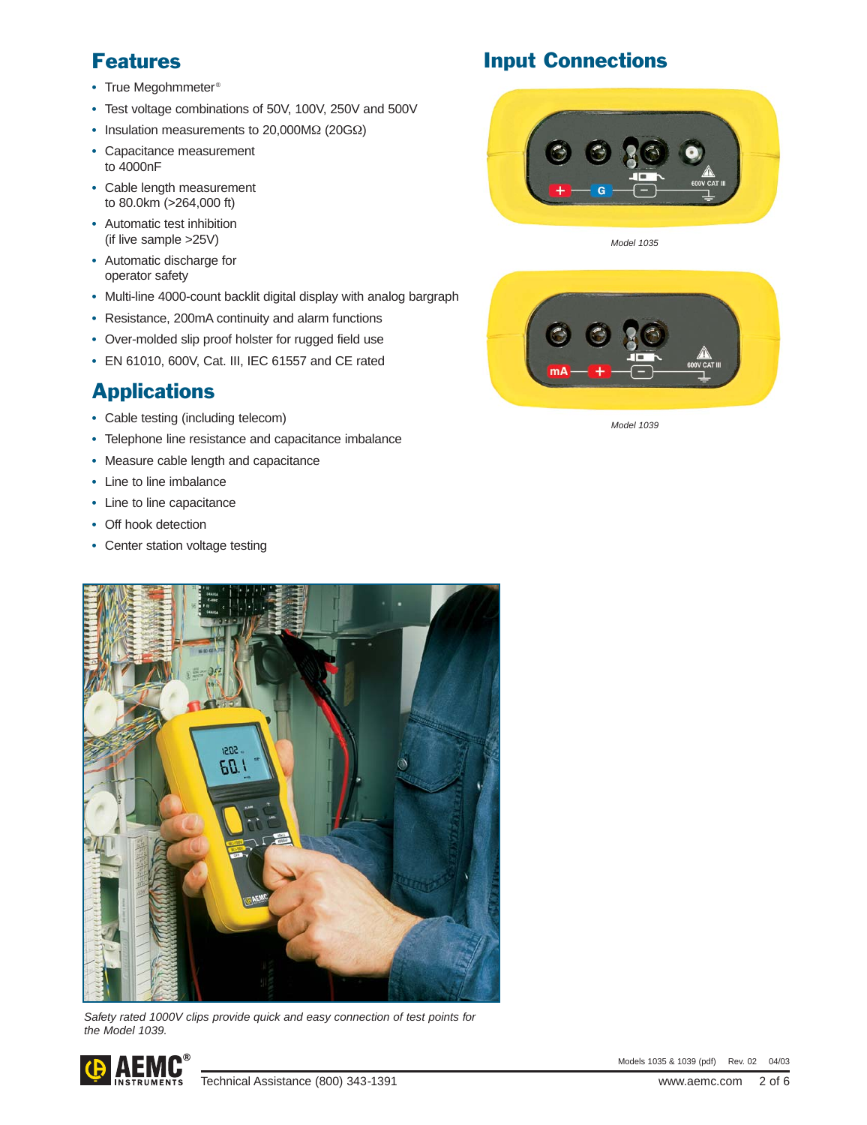## Features

- **•** True Megohmmeter®
- **•** Test voltage combinations of 50V, 100V, 250V and 500V
- **•** Insulation measurements to 20,000MΩ (20GΩ)
- **•** Capacitance measurement to 4000nF
- **•** Cable length measurement to 80.0km (>264,000 ft)
- **•** Automatic test inhibition (if live sample >25V)
- **•** Automatic discharge for operator safety
- **•** Multi-line 4000-count backlit digital display with analog bargraph
- **•** Resistance, 200mA continuity and alarm functions
- **•** Over-molded slip proof holster for rugged field use
- **•** EN 61010, 600V, Cat. III, IEC 61557 and CE rated

## Applications

- **•** Cable testing (including telecom)
- **•** Telephone line resistance and capacitance imbalance
- **•** Measure cable length and capacitance
- **•** Line to line imbalance
- **•** Line to line capacitance
- **•** Off hook detection
- **•** Center station voltage testing



Safety rated 1000V clips provide quick and easy connection of test points for the Model 1039.



## Input Connections



Model 1035



Model 1039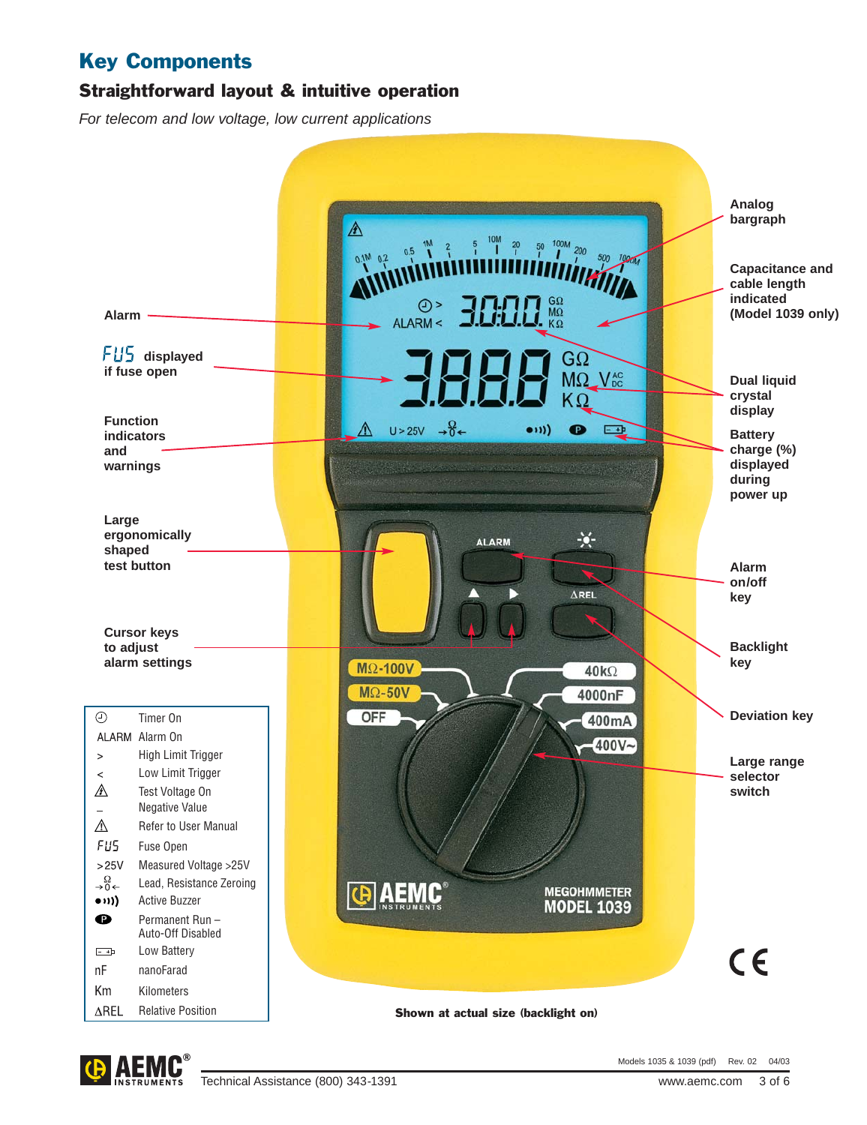## Key Components

### Straightforward layout & intuitive operation

For telecom and low voltage, low current applications



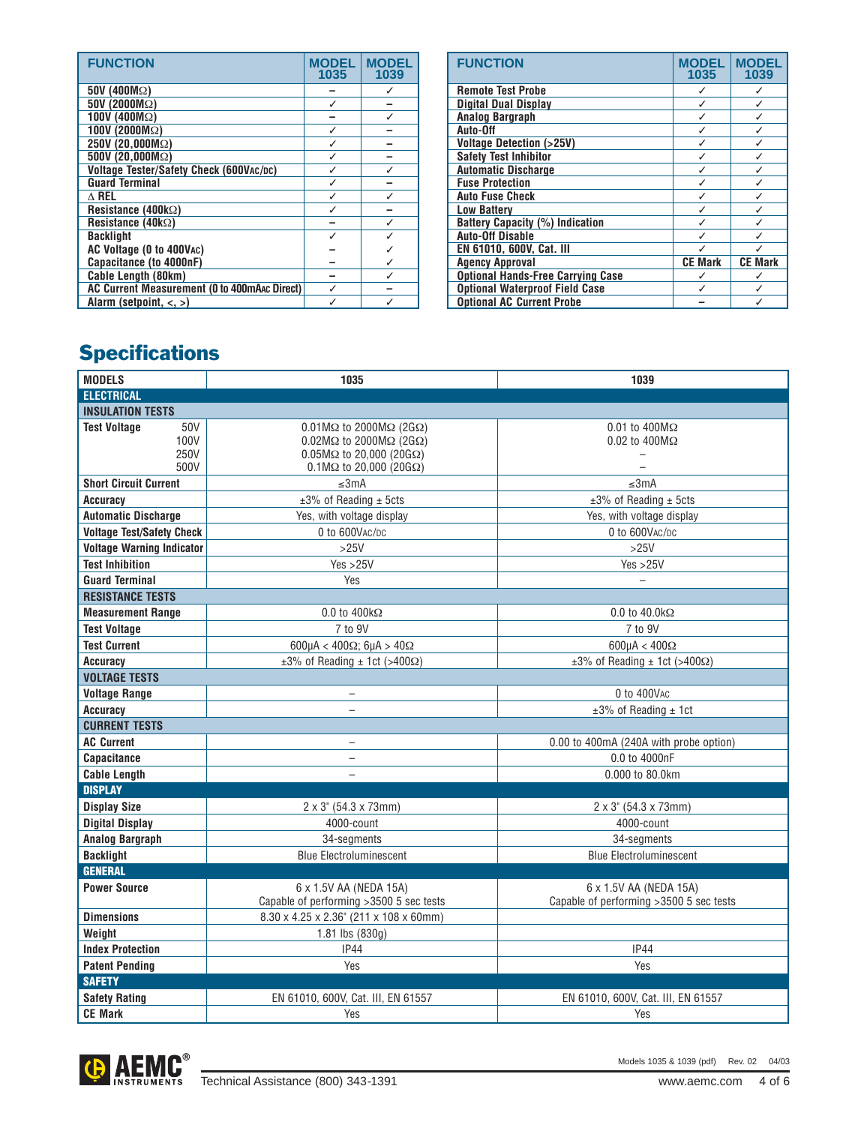| <b>FUNCTION</b>                              | <b>MODEL</b><br>1035 | <b>MODEL</b><br>1039 |
|----------------------------------------------|----------------------|----------------------|
| $50V(400M\Omega)$                            |                      |                      |
| $50V(2000M\Omega)$                           |                      |                      |
| 100V (400 $M\Omega$ )                        |                      |                      |
| 100V (2000 $M\Omega$ )                       |                      |                      |
| 250V (20,000MΩ)                              |                      |                      |
| $500V(20,000M\Omega)$                        |                      |                      |
| Voltage Tester/Safety Check (600VAC/DC)      |                      |                      |
| <b>Guard Terminal</b>                        |                      |                      |
| $\wedge$ Rel                                 |                      |                      |
| Resistance (400 $k\Omega$ )                  |                      |                      |
| Resistance (40 $k\Omega$ )                   |                      |                      |
| <b>Backlight</b>                             |                      |                      |
| AC Voltage (0 to 400VAC)                     |                      |                      |
| Capacitance (to 4000nF)                      |                      |                      |
| Cable Length (80km)                          |                      |                      |
| AC Current Measurement (0 to 400mAAc Direct) |                      |                      |
| Alarm (setpoint, $\langle , \rangle$ )       |                      |                      |

| <b>FUNCTION</b>                          | <b>MODEL</b><br>1035 | <b>MODEL</b><br>1039 |
|------------------------------------------|----------------------|----------------------|
| <b>Remote Test Probe</b>                 |                      |                      |
| <b>Digital Dual Display</b>              |                      |                      |
| Analog Bargraph                          |                      |                      |
| Auto-Off                                 |                      |                      |
| <b>Voltage Detection (&gt;25V)</b>       |                      |                      |
| <b>Safety Test Inhibitor</b>             |                      |                      |
| <b>Automatic Discharge</b>               |                      |                      |
| <b>Fuse Protection</b>                   |                      |                      |
| <b>Auto Fuse Check</b>                   |                      |                      |
| <b>Low Battery</b>                       |                      |                      |
| <b>Battery Capacity (%) Indication</b>   |                      |                      |
| <b>Auto-Off Disable</b>                  |                      |                      |
| EN 61010, 600V, Cat. III                 |                      |                      |
| <b>Agency Approval</b>                   | <b>CE Mark</b>       | <b>CE Mark</b>       |
| <b>Optional Hands-Free Carrying Case</b> |                      |                      |
| <b>Optional Waterproof Field Case</b>    |                      |                      |
| <b>Optional AC Current Probe</b>         |                      |                      |

## **Specifications**

| <b>MODELS</b>                                      | 1035                                                                                                                                                                                       | 1039                                                               |  |  |  |
|----------------------------------------------------|--------------------------------------------------------------------------------------------------------------------------------------------------------------------------------------------|--------------------------------------------------------------------|--|--|--|
| <b>ELECTRICAL</b>                                  |                                                                                                                                                                                            |                                                                    |  |  |  |
| <b>INSULATION TESTS</b>                            |                                                                                                                                                                                            |                                                                    |  |  |  |
| <b>Test Voltage</b><br>50V<br>100V<br>250V<br>500V | $0.01$ M $\Omega$ to 2000M $\Omega$ (2G $\Omega$ )<br>$0.02M\Omega$ to 2000 $M\Omega$ (2G $\Omega$ )<br>$0.05M\Omega$ to 20,000 (20G $\Omega$ )<br>$0.1 M\Omega$ to 20,000 (20G $\Omega$ ) | $0.01$ to $400 \text{M}\Omega$<br>$0.02$ to $400M\Omega$           |  |  |  |
| <b>Short Circuit Current</b>                       | ≤3mA                                                                                                                                                                                       | ≤3mA                                                               |  |  |  |
| <b>Accuracy</b>                                    | $±3%$ of Reading $±$ 5cts                                                                                                                                                                  | $±3%$ of Reading $±5cts$                                           |  |  |  |
| <b>Automatic Discharge</b>                         | Yes, with voltage display                                                                                                                                                                  | Yes, with voltage display                                          |  |  |  |
| <b>Voltage Test/Safety Check</b>                   | 0 to 600VAC/DC                                                                                                                                                                             | 0 to 600VAC/DC                                                     |  |  |  |
| <b>Voltage Warning Indicator</b>                   | $>25V$                                                                                                                                                                                     | $>25V$                                                             |  |  |  |
| <b>Test Inhibition</b>                             | Yes > 25V                                                                                                                                                                                  | Yes > 25V                                                          |  |  |  |
| <b>Guard Terminal</b>                              | Yes                                                                                                                                                                                        | $\overline{\phantom{0}}$                                           |  |  |  |
| <b>RESISTANCE TESTS</b>                            |                                                                                                                                                                                            |                                                                    |  |  |  |
| <b>Measurement Range</b>                           | $0.0$ to $400k\Omega$                                                                                                                                                                      | $0.0$ to $40.0$ k $\Omega$                                         |  |  |  |
| <b>Test Voltage</b>                                | 7 to 9V                                                                                                                                                                                    | 7 to 9V                                                            |  |  |  |
| <b>Test Current</b>                                | 600µA < 400 $\Omega$ ; 6µA > 40 $\Omega$                                                                                                                                                   | 600µA < 400 $\Omega$                                               |  |  |  |
| <b>Accuracy</b>                                    | $\pm 3\%$ of Reading $\pm$ 1ct (>400 $\Omega$ )                                                                                                                                            | $\pm 3\%$ of Reading $\pm$ 1ct (>400 $\Omega$ )                    |  |  |  |
| <b>VOLTAGE TESTS</b>                               |                                                                                                                                                                                            |                                                                    |  |  |  |
| <b>Voltage Range</b>                               | $\qquad \qquad -$                                                                                                                                                                          | 0 to 400VAC                                                        |  |  |  |
| Accuracy                                           |                                                                                                                                                                                            | $±3\%$ of Reading $±1$ ct                                          |  |  |  |
| <b>CURRENT TESTS</b>                               |                                                                                                                                                                                            |                                                                    |  |  |  |
| <b>AC Current</b>                                  | $\overline{\phantom{0}}$                                                                                                                                                                   | 0.00 to 400mA (240A with probe option)                             |  |  |  |
| <b>Capacitance</b>                                 | $\overline{\phantom{0}}$                                                                                                                                                                   | 0.0 to 4000nF                                                      |  |  |  |
| <b>Cable Length</b>                                | $\equiv$                                                                                                                                                                                   | 0.000 to 80.0km                                                    |  |  |  |
| <b>DISPLAY</b>                                     |                                                                                                                                                                                            |                                                                    |  |  |  |
| <b>Display Size</b>                                | $2 \times 3$ " (54.3 x 73mm)                                                                                                                                                               | $2 \times 3$ " (54.3 x 73mm)                                       |  |  |  |
| <b>Digital Display</b>                             | 4000-count                                                                                                                                                                                 | 4000-count                                                         |  |  |  |
| <b>Analog Bargraph</b>                             | 34-segments                                                                                                                                                                                | 34-segments                                                        |  |  |  |
| <b>Backlight</b>                                   | <b>Blue Electroluminescent</b>                                                                                                                                                             | <b>Blue Electroluminescent</b>                                     |  |  |  |
| <b>GENERAL</b>                                     |                                                                                                                                                                                            |                                                                    |  |  |  |
| <b>Power Source</b>                                | 6 x 1.5V AA (NEDA 15A)<br>Capable of performing >3500 5 sec tests                                                                                                                          | 6 x 1.5V AA (NEDA 15A)<br>Capable of performing > 3500 5 sec tests |  |  |  |
| <b>Dimensions</b>                                  | 8.30 x 4.25 x 2.36" (211 x 108 x 60mm)                                                                                                                                                     |                                                                    |  |  |  |
| Weight                                             | 1.81 lbs (830g)                                                                                                                                                                            |                                                                    |  |  |  |
| <b>Index Protection</b>                            | <b>IP44</b>                                                                                                                                                                                | <b>IP44</b>                                                        |  |  |  |
| <b>Patent Pending</b>                              | Yes                                                                                                                                                                                        | Yes                                                                |  |  |  |
| <b>SAFETY</b>                                      |                                                                                                                                                                                            |                                                                    |  |  |  |
| <b>Safety Rating</b>                               | EN 61010, 600V, Cat. III, EN 61557                                                                                                                                                         | EN 61010, 600V, Cat. III, EN 61557                                 |  |  |  |
| <b>CE Mark</b>                                     | Yes                                                                                                                                                                                        | Yes                                                                |  |  |  |



Models 1035 & 1039 (pdf) Rev. 02 04/03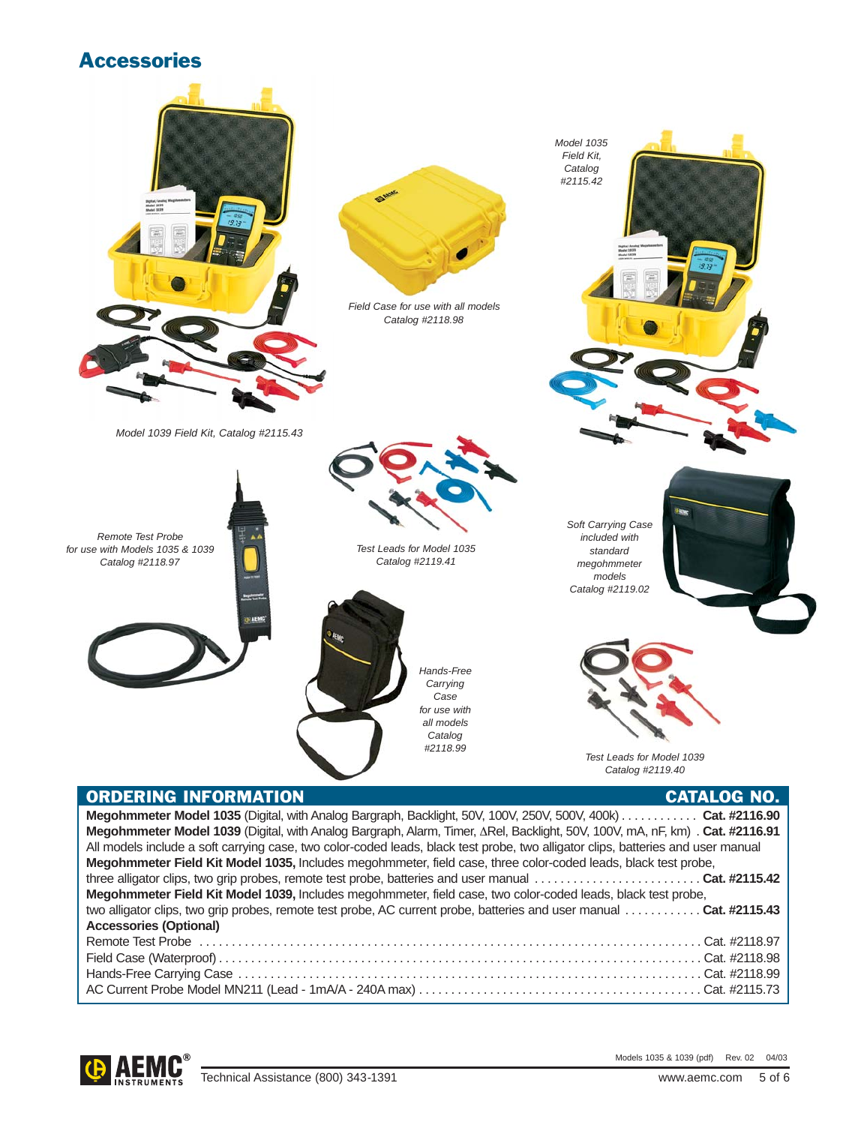### **Accessories**



| <b>ACCESSOFIES (Optional)</b> |  |
|-------------------------------|--|
|                               |  |
|                               |  |
|                               |  |
|                               |  |



Models 1035 & 1039 (pdf) Rev. 02 04/03